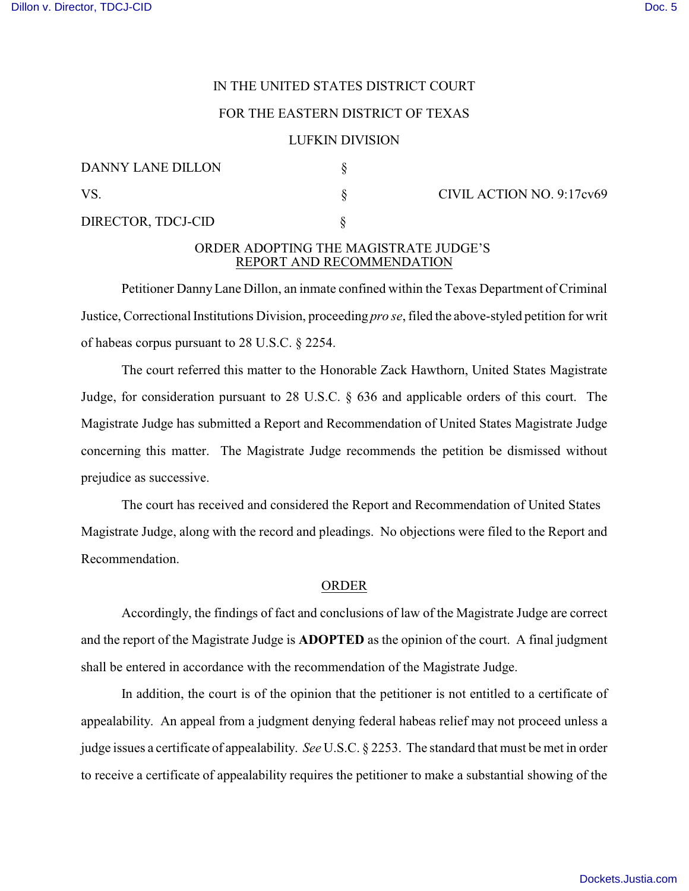# IN THE UNITED STATES DISTRICT COURT

### FOR THE EASTERN DISTRICT OF TEXAS

### LUFKIN DIVISION

| DANNY LANE DILLON  |  |
|--------------------|--|
| VS.                |  |
| DIRECTOR, TDCJ-CID |  |

S CIVIL ACTION NO. 9:17cv69

# ORDER ADOPTING THE MAGISTRATE JUDGE'S REPORT AND RECOMMENDATION

Petitioner Danny Lane Dillon, an inmate confined within the Texas Department of Criminal Justice, Correctional Institutions Division, proceeding *pro se*, filed the above-styled petition for writ of habeas corpus pursuant to 28 U.S.C. § 2254.

The court referred this matter to the Honorable Zack Hawthorn, United States Magistrate Judge, for consideration pursuant to 28 U.S.C. § 636 and applicable orders of this court. The Magistrate Judge has submitted a Report and Recommendation of United States Magistrate Judge concerning this matter. The Magistrate Judge recommends the petition be dismissed without prejudice as successive.

The court has received and considered the Report and Recommendation of United States Magistrate Judge, along with the record and pleadings. No objections were filed to the Report and Recommendation.

#### ORDER

Accordingly, the findings of fact and conclusions of law of the Magistrate Judge are correct and the report of the Magistrate Judge is **ADOPTED** as the opinion of the court. A final judgment shall be entered in accordance with the recommendation of the Magistrate Judge.

In addition, the court is of the opinion that the petitioner is not entitled to a certificate of appealability. An appeal from a judgment denying federal habeas relief may not proceed unless a judge issues a certificate of appealability. *See* U.S.C. § 2253. The standard that must be met in order to receive a certificate of appealability requires the petitioner to make a substantial showing of the